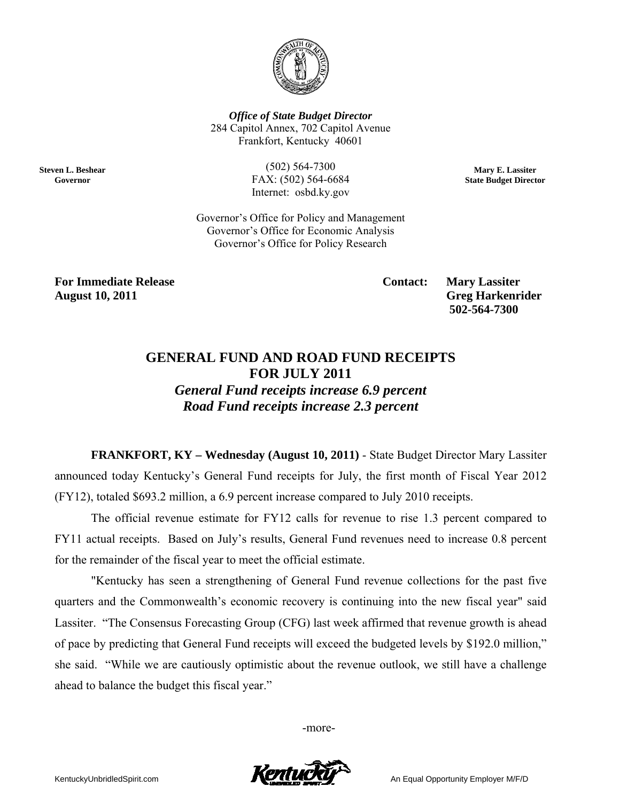

*Office of State Budget Director*  284 Capitol Annex, 702 Capitol Avenue Frankfort, Kentucky 40601

> (502) 564-7300 FAX: (502) 564-6684 Internet: osbd.ky.gov

**Mary E. Lassiter State Budget Director** 

Governor's Office for Policy and Management Governor's Office for Economic Analysis Governor's Office for Policy Research

**For Immediate Release Contact: Mary Lassiter August 10, 2011 Greg Harkenrider** 

**Steven L. Beshear Governor** 

 **502-564-7300** 

## **GENERAL FUND AND ROAD FUND RECEIPTS FOR JULY 2011**

*General Fund receipts increase 6.9 percent Road Fund receipts increase 2.3 percent* 

**FRANKFORT, KY – Wednesday (August 10, 2011)** - State Budget Director Mary Lassiter announced today Kentucky's General Fund receipts for July, the first month of Fiscal Year 2012 (FY12), totaled \$693.2 million, a 6.9 percent increase compared to July 2010 receipts.

The official revenue estimate for FY12 calls for revenue to rise 1.3 percent compared to FY11 actual receipts. Based on July's results, General Fund revenues need to increase 0.8 percent for the remainder of the fiscal year to meet the official estimate.

"Kentucky has seen a strengthening of General Fund revenue collections for the past five quarters and the Commonwealth's economic recovery is continuing into the new fiscal year" said Lassiter. "The Consensus Forecasting Group (CFG) last week affirmed that revenue growth is ahead of pace by predicting that General Fund receipts will exceed the budgeted levels by \$192.0 million," she said. "While we are cautiously optimistic about the revenue outlook, we still have a challenge ahead to balance the budget this fiscal year."

-more-

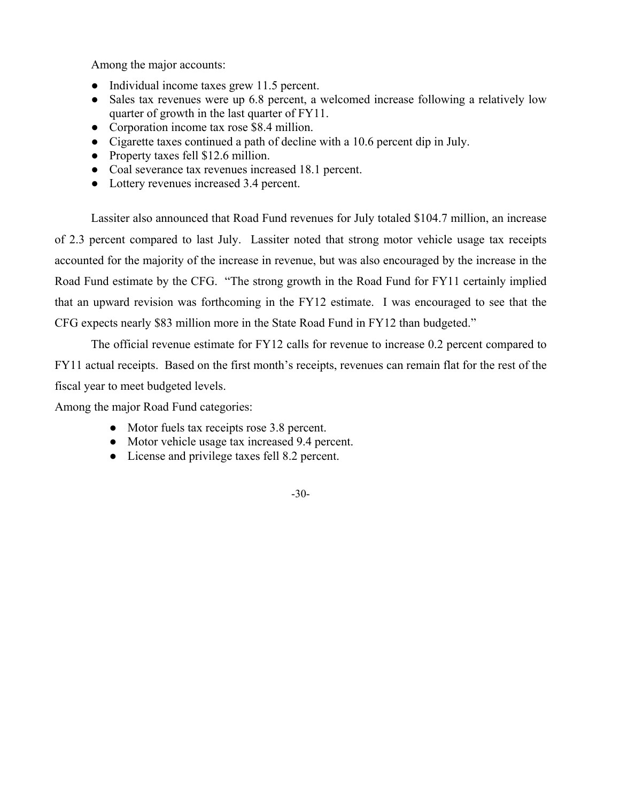Among the major accounts:

- Individual income taxes grew 11.5 percent.
- Sales tax revenues were up 6.8 percent, a welcomed increase following a relatively low quarter of growth in the last quarter of FY11.
- Corporation income tax rose \$8.4 million.
- Cigarette taxes continued a path of decline with a 10.6 percent dip in July.
- Property taxes fell \$12.6 million.
- Coal severance tax revenues increased 18.1 percent.
- Lottery revenues increased 3.4 percent.

 Lassiter also announced that Road Fund revenues for July totaled \$104.7 million, an increase of 2.3 percent compared to last July. Lassiter noted that strong motor vehicle usage tax receipts accounted for the majority of the increase in revenue, but was also encouraged by the increase in the Road Fund estimate by the CFG. "The strong growth in the Road Fund for FY11 certainly implied that an upward revision was forthcoming in the FY12 estimate. I was encouraged to see that the CFG expects nearly \$83 million more in the State Road Fund in FY12 than budgeted."

 The official revenue estimate for FY12 calls for revenue to increase 0.2 percent compared to FY11 actual receipts. Based on the first month's receipts, revenues can remain flat for the rest of the fiscal year to meet budgeted levels.

Among the major Road Fund categories:

- Motor fuels tax receipts rose 3.8 percent.
- Motor vehicle usage tax increased 9.4 percent.
- License and privilege taxes fell 8.2 percent.

## -30-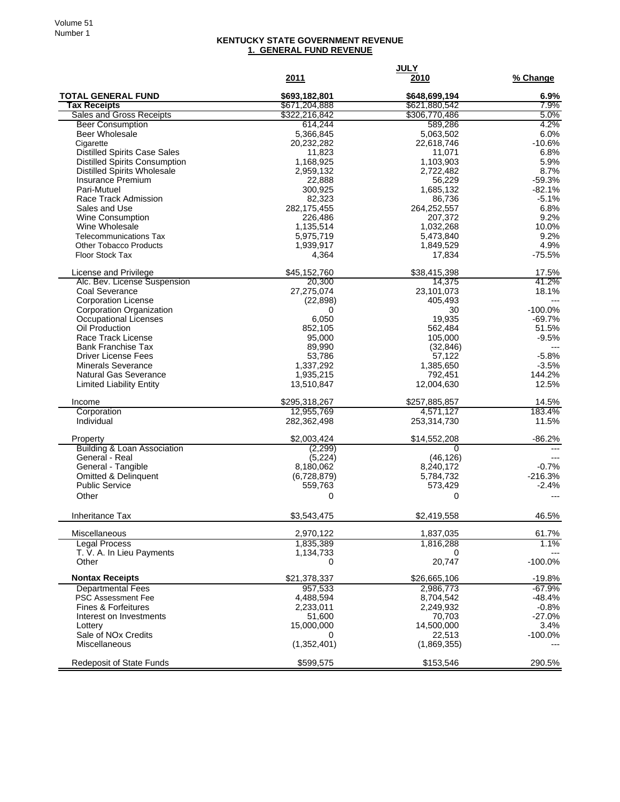## **KENTUCKY STATE GOVERNMENT REVENUE 1. GENERAL FUND REVENUE**

|                                                           | 2011                   | <b>JULY</b><br>2010      | % Change              |
|-----------------------------------------------------------|------------------------|--------------------------|-----------------------|
| <b>TOTAL GENERAL FUND</b>                                 | \$693,182,801          | \$648,699,194            | $6.9\%$               |
| <b>Tax Receipts</b>                                       | \$671,204,888          | \$621,880,542            | 7.9%                  |
| <b>Sales and Gross Receipts</b>                           | \$322,216,842          | \$306,770,486<br>589,286 | 5.0%<br>4.2%          |
| <b>Beer Consumption</b><br>Beer Wholesale                 | 614,244<br>5,366,845   | 5,063,502                | 6.0%                  |
| Cigarette                                                 | 20,232,282             | 22,618,746               | $-10.6%$              |
| <b>Distilled Spirits Case Sales</b>                       | 11,823                 | 11,071                   | 6.8%                  |
| <b>Distilled Spirits Consumption</b>                      | 1,168,925              | 1,103,903                | 5.9%                  |
| <b>Distilled Spirits Wholesale</b>                        | 2,959,132              | 2,722,482                | 8.7%                  |
| <b>Insurance Premium</b><br>Pari-Mutuel                   | 22,888<br>300,925      | 56,229<br>1,685,132      | $-59.3%$<br>$-82.1%$  |
| Race Track Admission                                      | 82,323                 | 86,736                   | $-5.1%$               |
| Sales and Use                                             | 282,175,455            | 264,252,557              | 6.8%                  |
| Wine Consumption                                          | 226,486                | 207,372                  | 9.2%                  |
| Wine Wholesale                                            | 1,135,514              | 1,032,268                | 10.0%                 |
| <b>Telecommunications Tax</b>                             | 5,975,719              | 5,473,840                | 9.2%                  |
| <b>Other Tobacco Products</b><br><b>Floor Stock Tax</b>   | 1,939,917<br>4,364     | 1,849,529<br>17,834      | 4.9%<br>$-75.5%$      |
|                                                           |                        |                          |                       |
| License and Privilege                                     | \$45,152,760           | \$38,415,398             | 17.5%                 |
| Alc. Bev. License Suspension                              | 20,300                 | 14.375                   | 41.2%                 |
| Coal Severance                                            | 27,275,074             | 23,101,073               | 18.1%                 |
| <b>Corporation License</b>                                | (22, 898)              | 405,493                  | $---$                 |
| <b>Corporation Organization</b><br>Occupational Licenses  | $\Omega$<br>6,050      | 30<br>19,935             | $-100.0%$<br>$-69.7%$ |
| Oil Production                                            | 852,105                | 562,484                  | 51.5%                 |
| Race Track License                                        | 95,000                 | 105,000                  | $-9.5%$               |
| <b>Bank Franchise Tax</b>                                 | 89,990                 | (32, 846)                |                       |
| <b>Driver License Fees</b>                                | 53,786                 | 57,122                   | $-5.8%$               |
| <b>Minerals Severance</b>                                 | 1,337,292              | 1,385,650                | $-3.5%$               |
| <b>Natural Gas Severance</b>                              | 1,935,215              | 792,451                  | 144.2%<br>12.5%       |
| <b>Limited Liability Entity</b>                           | 13,510,847             | 12,004,630               |                       |
| Income                                                    | \$295,318,267          | \$257,885,857            | 14.5%                 |
| Corporation                                               | 12,955,769             | 4,571,127                | 183.4%                |
| Individual                                                | 282,362,498            | 253,314,730              | 11.5%                 |
| Property                                                  | \$2,003,424            | \$14,552,208             | $-86.2%$              |
| <b>Building &amp; Loan Association</b>                    | (2, 299)               | 0                        |                       |
| General - Real                                            | (5,224)                | (46, 126)                |                       |
| General - Tangible<br>Omitted & Delinquent                | 8,180,062              | 8,240,172                | $-0.7%$               |
| <b>Public Service</b>                                     | (6,728,879)<br>559,763 | 5,784,732<br>573,429     | $-216.3%$<br>$-2.4%$  |
| Other                                                     | 0                      | 0                        |                       |
|                                                           |                        |                          |                       |
| Inheritance Tax                                           | \$3,543,475            | \$2,419,558              | 46.5%                 |
| Miscellaneous                                             | 2,970,122              | 1,837,035                | 61.7%                 |
| <b>Legal Process</b>                                      | 1,835,389              | 1,816,288                | 1.1%                  |
| T. V. A. In Lieu Payments                                 | 1,134,733              | 0                        |                       |
| Other                                                     | 0                      | 20,747                   | $-100.0\%$            |
| <b>Nontax Receipts</b>                                    | \$21,378,337           | \$26,665,106             | $-19.8%$              |
| <b>Departmental Fees</b>                                  | 957,533                | 2,986,773                | $-67.9%$              |
| <b>PSC Assessment Fee</b>                                 | 4,488,594              | 8,704,542                | $-48.4%$              |
| <b>Fines &amp; Forfeitures</b><br>Interest on Investments | 2,233,011              | 2,249,932                | $-0.8%$<br>$-27.0%$   |
| Lottery                                                   | 51,600<br>15,000,000   | 70,703<br>14,500,000     | 3.4%                  |
| Sale of NO <sub>x</sub> Credits                           | 0                      | 22,513                   | $-100.0%$             |
| Miscellaneous                                             | (1,352,401)            | (1,869,355)              |                       |
| <b>Redeposit of State Funds</b>                           | \$599,575              | \$153,546                | 290.5%                |